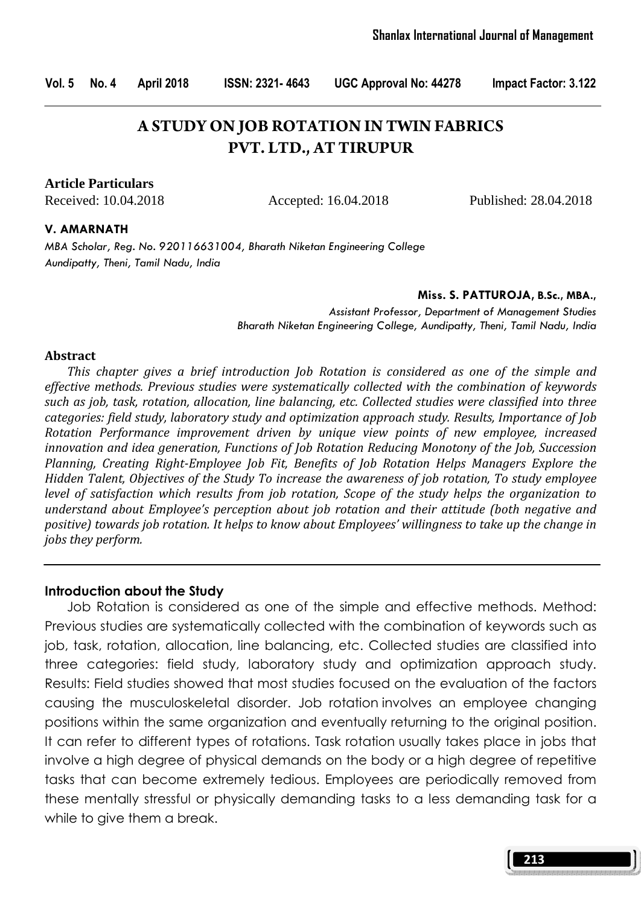# **A STUDY ON JOB ROTATION IN TWIN FABRICS PVT. LTD., AT TIRUPUR**

**Article Particulars**

Received: 10.04.2018 Accepted: 16.04.2018 Published: 28.04.2018

#### V. AMARNATH

MBA Scholar, Reg. No. 920116631004, Bharath Niketan Engineering College Aundipatty, Theni, Tamil Nadu, India

#### Miss. S. PATTUROJA, B.Sc., MBA.,

Assistant Professor, Department of Management Studies Bharath Niketan Engineering College, Aundipatty, Theni, Tamil Nadu, India

#### Abstract

 This chapter gives a brief introduction Job Rotation is considered as one of the simple and effective methods. Previous studies were systematically collected with the combination of keywords such as job, task, rotation, allocation, line balancing, etc. Collected studies were classified into three categories: field study, laboratory study and optimization approach study. Results, Importance of Job Rotation Performance improvement driven by unique view points of new employee, increased innovation and idea generation, Functions of Job Rotation Reducing Monotony of the Job, Succession Planning, Creating Right-Employee Job Fit, Benefits of Job Rotation Helps Managers Explore the Hidden Talent, Objectives of the Study To increase the awareness of job rotation, To study employee level of satisfaction which results from job rotation, Scope of the study helps the organization to understand about Employee's perception about job rotation and their attitude (both negative and positive) towards job rotation. It helps to know about Employees' willingness to take up the change in jobs they perform.

#### Introduction about the Study

 Job Rotation is considered as one of the simple and effective methods. Method: Previous studies are systematically collected with the combination of keywords such as job, task, rotation, allocation, line balancing, etc. Collected studies are classified into three categories: field study, laboratory study and optimization approach study. Results: Field studies showed that most studies focused on the evaluation of the factors causing the musculoskeletal disorder. Job rotation involves an employee changing positions within the same organization and eventually returning to the original position. It can refer to different types of rotations. Task rotation usually takes place in jobs that involve a high degree of physical demands on the body or a high degree of repetitive tasks that can become extremely tedious. Employees are periodically removed from these mentally stressful or physically demanding tasks to a less demanding task for a while to give them a break.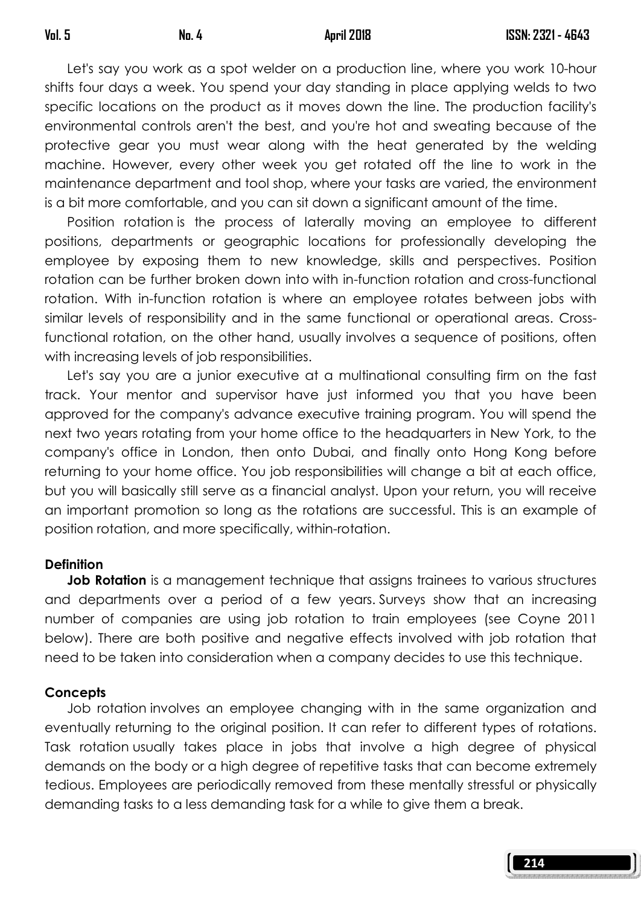Let's say you work as a spot welder on a production line, where you work 10-hour shifts four days a week. You spend your day standing in place applying welds to two specific locations on the product as it moves down the line. The production facility's environmental controls aren't the best, and you're hot and sweating because of the protective gear you must wear along with the heat generated by the welding machine. However, every other week you get rotated off the line to work in the maintenance department and tool shop, where your tasks are varied, the environment is a bit more comfortable, and you can sit down a significant amount of the time.

 Position rotation is the process of laterally moving an employee to different positions, departments or geographic locations for professionally developing the employee by exposing them to new knowledge, skills and perspectives. Position rotation can be further broken down into with in-function rotation and cross-functional rotation. With in-function rotation is where an employee rotates between jobs with similar levels of responsibility and in the same functional or operational areas. Crossfunctional rotation, on the other hand, usually involves a sequence of positions, often with increasing levels of job responsibilities.

 Let's say you are a junior executive at a multinational consulting firm on the fast track. Your mentor and supervisor have just informed you that you have been approved for the company's advance executive training program. You will spend the next two years rotating from your home office to the headquarters in New York, to the company's office in London, then onto Dubai, and finally onto Hong Kong before returning to your home office. You job responsibilities will change a bit at each office, but you will basically still serve as a financial analyst. Upon your return, you will receive an important promotion so long as the rotations are successful. This is an example of position rotation, and more specifically, within-rotation.

## **Definition**

**Job Rotation** is a management technique that assigns trainees to various structures and departments over a period of a few years. Surveys show that an increasing number of companies are using job rotation to train employees (see Coyne 2011 below). There are both positive and negative effects involved with job rotation that need to be taken into consideration when a company decides to use this technique.

## **Concepts**

 Job rotation involves an employee changing with in the same organization and eventually returning to the original position. It can refer to different types of rotations. Task rotation usually takes place in jobs that involve a high degree of physical demands on the body or a high degree of repetitive tasks that can become extremely tedious. Employees are periodically removed from these mentally stressful or physically demanding tasks to a less demanding task for a while to give them a break.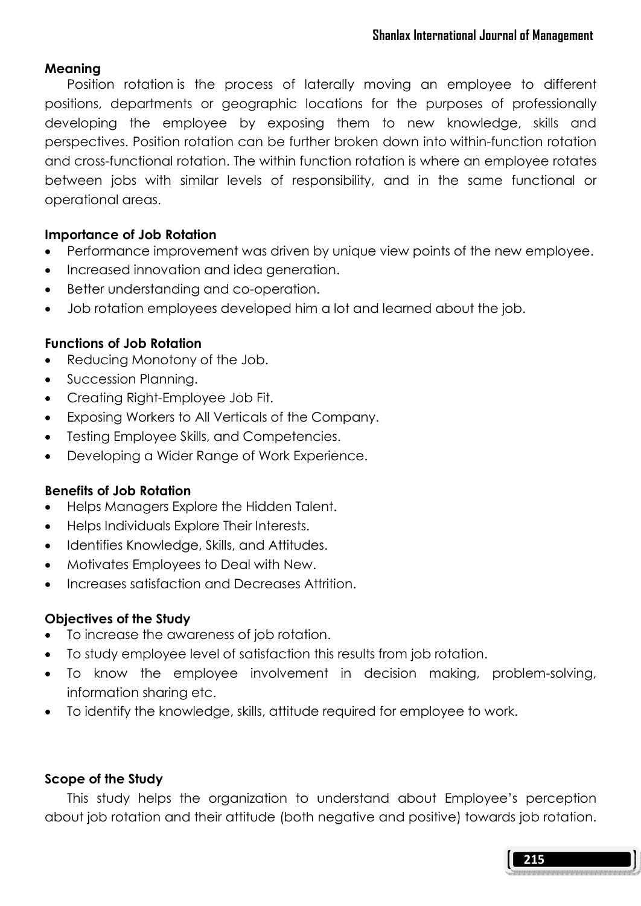## Meaning

 Position rotation is the process of laterally moving an employee to different positions, departments or geographic locations for the purposes of professionally developing the employee by exposing them to new knowledge, skills and perspectives. Position rotation can be further broken down into within-function rotation and cross-functional rotation. The within function rotation is where an employee rotates between jobs with similar levels of responsibility, and in the same functional or operational areas.

## Importance of Job Rotation

- Performance improvement was driven by unique view points of the new employee.
- Increased innovation and idea generation.
- Better understanding and co-operation.
- Job rotation employees developed him a lot and learned about the job.

## Functions of Job Rotation

- Reducing Monotony of the Job.
- Succession Planning.
- Creating Right-Employee Job Fit.
- Exposing Workers to All Verticals of the Company.
- Testing Employee Skills, and Competencies.
- Developing a Wider Range of Work Experience.

## Benefits of Job Rotation

- Helps Managers Explore the Hidden Talent.
- Helps Individuals Explore Their Interests.
- Identifies Knowledge, Skills, and Attitudes.
- Motivates Employees to Deal with New.
- Increases satisfaction and Decreases Attrition.

## Objectives of the Study

- To increase the awareness of job rotation.
- To study employee level of satisfaction this results from job rotation.
- To know the employee involvement in decision making, problem-solving, information sharing etc.
- To identify the knowledge, skills, attitude required for employee to work.

## Scope of the Study

 This study helps the organization to understand about Employee's perception about job rotation and their attitude (both negative and positive) towards job rotation.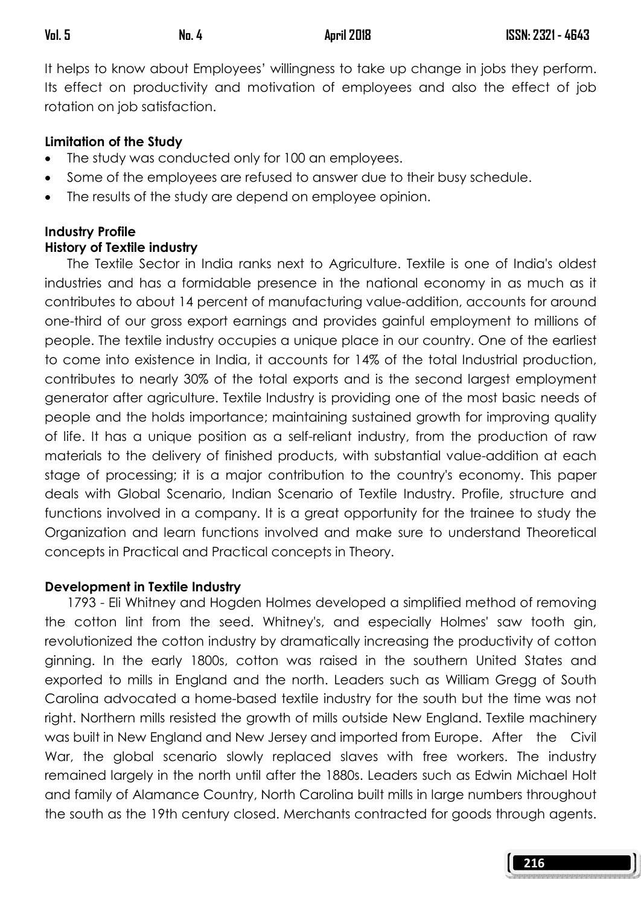It helps to know about Employees' willingness to take up change in jobs they perform. Its effect on productivity and motivation of employees and also the effect of job rotation on job satisfaction.

## Limitation of the Study

- The study was conducted only for 100 an employees.
- Some of the employees are refused to answer due to their busy schedule.
- The results of the study are depend on employee opinion.

## Industry Profile History of Textile industry

 The Textile Sector in India ranks next to Agriculture. Textile is one of India's oldest industries and has a formidable presence in the national economy in as much as it contributes to about 14 percent of manufacturing value-addition, accounts for around one-third of our gross export earnings and provides gainful employment to millions of people. The textile industry occupies a unique place in our country. One of the earliest to come into existence in India, it accounts for 14% of the total Industrial production, contributes to nearly 30% of the total exports and is the second largest employment generator after agriculture. Textile Industry is providing one of the most basic needs of people and the holds importance; maintaining sustained growth for improving quality of life. It has a unique position as a self-reliant industry, from the production of raw materials to the delivery of finished products, with substantial value-addition at each stage of processing; it is a major contribution to the country's economy. This paper deals with Global Scenario, Indian Scenario of Textile Industry. Profile, structure and functions involved in a company. It is a great opportunity for the trainee to study the Organization and learn functions involved and make sure to understand Theoretical concepts in Practical and Practical concepts in Theory.

## Development in Textile Industry

 1793 - Eli Whitney and Hogden Holmes developed a simplified method of removing the cotton lint from the seed. Whitney's, and especially Holmes' saw tooth gin, revolutionized the cotton industry by dramatically increasing the productivity of cotton ginning. In the early 1800s, cotton was raised in the southern United States and exported to mills in England and the north. Leaders such as William Gregg of South Carolina advocated a home-based textile industry for the south but the time was not right. Northern mills resisted the growth of mills outside New England. Textile machinery was built in New England and New Jersey and imported from Europe. After the Civil War, the global scenario slowly replaced slaves with free workers. The industry remained largely in the north until after the 1880s. Leaders such as Edwin Michael Holt and family of Alamance Country, North Carolina built mills in large numbers throughout the south as the 19th century closed. Merchants contracted for goods through agents.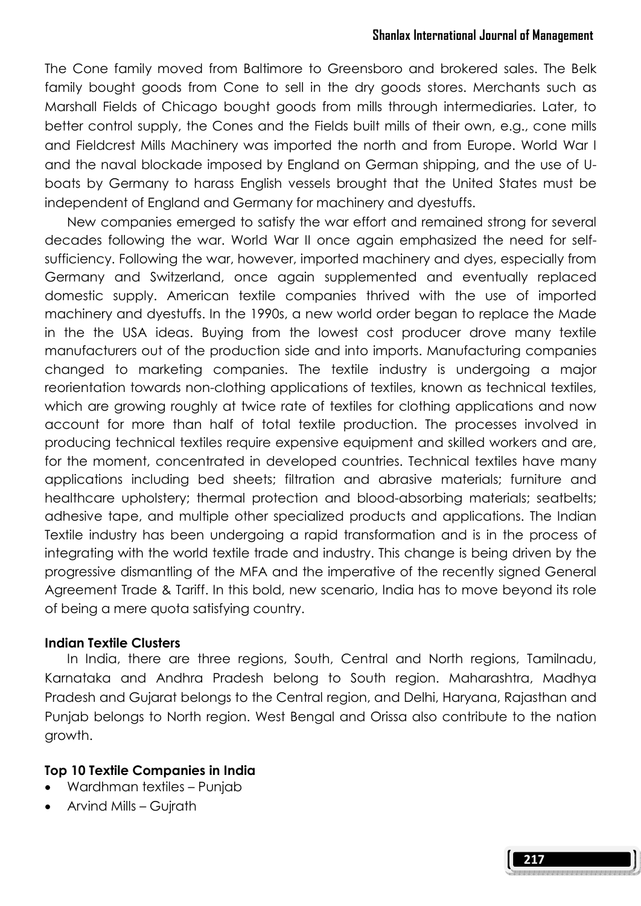### Shanlax International Journal of Management

The Cone family moved from Baltimore to Greensboro and brokered sales. The Belk family bought goods from Cone to sell in the dry goods stores. Merchants such as Marshall Fields of Chicago bought goods from mills through intermediaries. Later, to better control supply, the Cones and the Fields built mills of their own, e.g., cone mills and Fieldcrest Mills Machinery was imported the north and from Europe. World War I and the naval blockade imposed by England on German shipping, and the use of Uboats by Germany to harass English vessels brought that the United States must be independent of England and Germany for machinery and dyestuffs.

 New companies emerged to satisfy the war effort and remained strong for several decades following the war. World War II once again emphasized the need for selfsufficiency. Following the war, however, imported machinery and dyes, especially from Germany and Switzerland, once again supplemented and eventually replaced domestic supply. American textile companies thrived with the use of imported machinery and dyestuffs. In the 1990s, a new world order began to replace the Made in the the USA ideas. Buying from the lowest cost producer drove many textile manufacturers out of the production side and into imports. Manufacturing companies changed to marketing companies. The textile industry is undergoing a major reorientation towards non-clothing applications of textiles, known as technical textiles, which are growing roughly at twice rate of textiles for clothing applications and now account for more than half of total textile production. The processes involved in producing technical textiles require expensive equipment and skilled workers and are, for the moment, concentrated in developed countries. Technical textiles have many applications including bed sheets; filtration and abrasive materials; furniture and healthcare upholstery; thermal protection and blood-absorbing materials; seatbelts; adhesive tape, and multiple other specialized products and applications. The Indian Textile industry has been undergoing a rapid transformation and is in the process of integrating with the world textile trade and industry. This change is being driven by the progressive dismantling of the MFA and the imperative of the recently signed General Agreement Trade & Tariff. In this bold, new scenario, India has to move beyond its role of being a mere quota satisfying country.

#### Indian Textile Clusters

 In India, there are three regions, South, Central and North regions, Tamilnadu, Karnataka and Andhra Pradesh belong to South region. Maharashtra, Madhya Pradesh and Gujarat belongs to the Central region, and Delhi, Haryana, Rajasthan and Punjab belongs to North region. West Bengal and Orissa also contribute to the nation growth.

#### Top 10 Textile Companies in India

- Wardhman textiles Punjab
- Arvind Mills Gujrath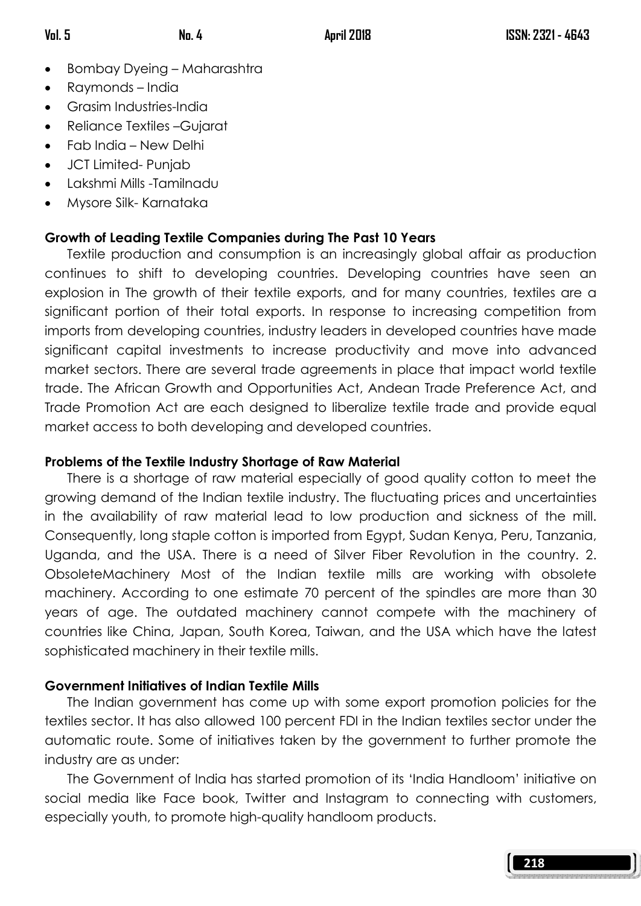- Bombay Dyeing Maharashtra
- Raymonds India
- Grasim Industries-India
- Reliance Textiles –Gujarat
- Fab India New Delhi
- JCT Limited- Punjab
- Lakshmi Mills -Tamilnadu
- Mysore Silk- Karnataka

# Growth of Leading Textile Companies during The Past 10 Years

 Textile production and consumption is an increasingly global affair as production continues to shift to developing countries. Developing countries have seen an explosion in The growth of their textile exports, and for many countries, textiles are a significant portion of their total exports. In response to increasing competition from imports from developing countries, industry leaders in developed countries have made significant capital investments to increase productivity and move into advanced market sectors. There are several trade agreements in place that impact world textile trade. The African Growth and Opportunities Act, Andean Trade Preference Act, and Trade Promotion Act are each designed to liberalize textile trade and provide equal market access to both developing and developed countries.

# Problems of the Textile Industry Shortage of Raw Material

 There is a shortage of raw material especially of good quality cotton to meet the growing demand of the Indian textile industry. The fluctuating prices and uncertainties in the availability of raw material lead to low production and sickness of the mill. Consequently, long staple cotton is imported from Egypt, Sudan Kenya, Peru, Tanzania, Uganda, and the USA. There is a need of Silver Fiber Revolution in the country. 2. ObsoleteMachinery Most of the Indian textile mills are working with obsolete machinery. According to one estimate 70 percent of the spindles are more than 30 years of age. The outdated machinery cannot compete with the machinery of countries like China, Japan, South Korea, Taiwan, and the USA which have the latest sophisticated machinery in their textile mills.

# Government Initiatives of Indian Textile Mills

 The Indian government has come up with some export promotion policies for the textiles sector. It has also allowed 100 percent FDI in the Indian textiles sector under the automatic route. Some of initiatives taken by the government to further promote the industry are as under:

 The Government of India has started promotion of its 'India Handloom' initiative on social media like Face book, Twitter and Instagram to connecting with customers, especially youth, to promote high-quality handloom products.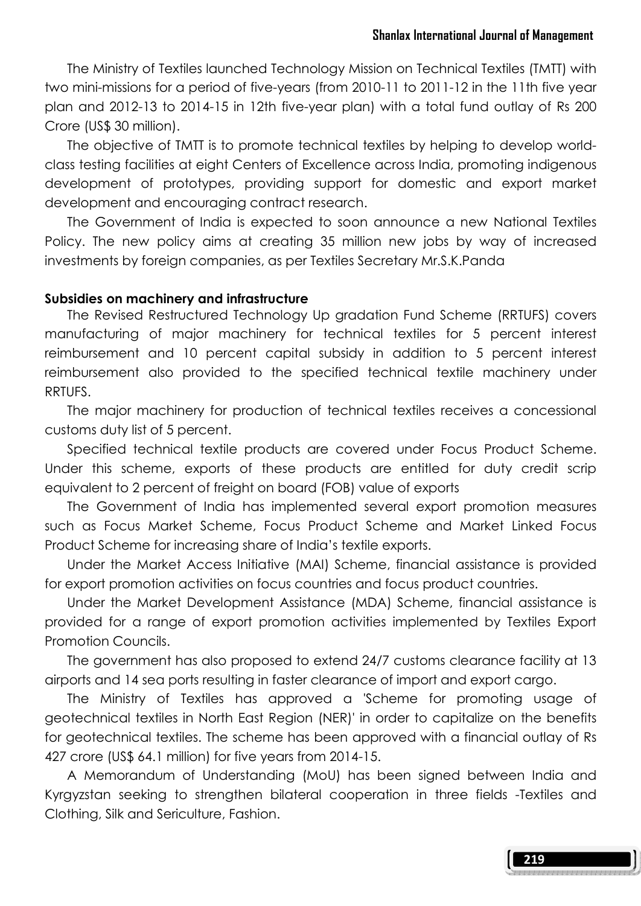The Ministry of Textiles launched Technology Mission on Technical Textiles (TMTT) with two mini-missions for a period of five-years (from 2010-11 to 2011-12 in the 11th five year plan and 2012-13 to 2014-15 in 12th five-year plan) with a total fund outlay of Rs 200 Crore (US\$ 30 million).

 The objective of TMTT is to promote technical textiles by helping to develop worldclass testing facilities at eight Centers of Excellence across India, promoting indigenous development of prototypes, providing support for domestic and export market development and encouraging contract research.

 The Government of India is expected to soon announce a new National Textiles Policy. The new policy aims at creating 35 million new jobs by way of increased investments by foreign companies, as per Textiles Secretary Mr.S.K.Panda

### Subsidies on machinery and infrastructure

 The Revised Restructured Technology Up gradation Fund Scheme (RRTUFS) covers manufacturing of major machinery for technical textiles for 5 percent interest reimbursement and 10 percent capital subsidy in addition to 5 percent interest reimbursement also provided to the specified technical textile machinery under RRTUFS.

 The major machinery for production of technical textiles receives a concessional customs duty list of 5 percent.

 Specified technical textile products are covered under Focus Product Scheme. Under this scheme, exports of these products are entitled for duty credit scrip equivalent to 2 percent of freight on board (FOB) value of exports

 The Government of India has implemented several export promotion measures such as Focus Market Scheme, Focus Product Scheme and Market Linked Focus Product Scheme for increasing share of India's textile exports.

 Under the Market Access Initiative (MAI) Scheme, financial assistance is provided for export promotion activities on focus countries and focus product countries.

 Under the Market Development Assistance (MDA) Scheme, financial assistance is provided for a range of export promotion activities implemented by Textiles Export Promotion Councils.

 The government has also proposed to extend 24/7 customs clearance facility at 13 airports and 14 sea ports resulting in faster clearance of import and export cargo.

 The Ministry of Textiles has approved a 'Scheme for promoting usage of geotechnical textiles in North East Region (NER)' in order to capitalize on the benefits for geotechnical textiles. The scheme has been approved with a financial outlay of Rs 427 crore (US\$ 64.1 million) for five years from 2014-15.

 A Memorandum of Understanding (MoU) has been signed between India and Kyrgyzstan seeking to strengthen bilateral cooperation in three fields -Textiles and Clothing, Silk and Sericulture, Fashion.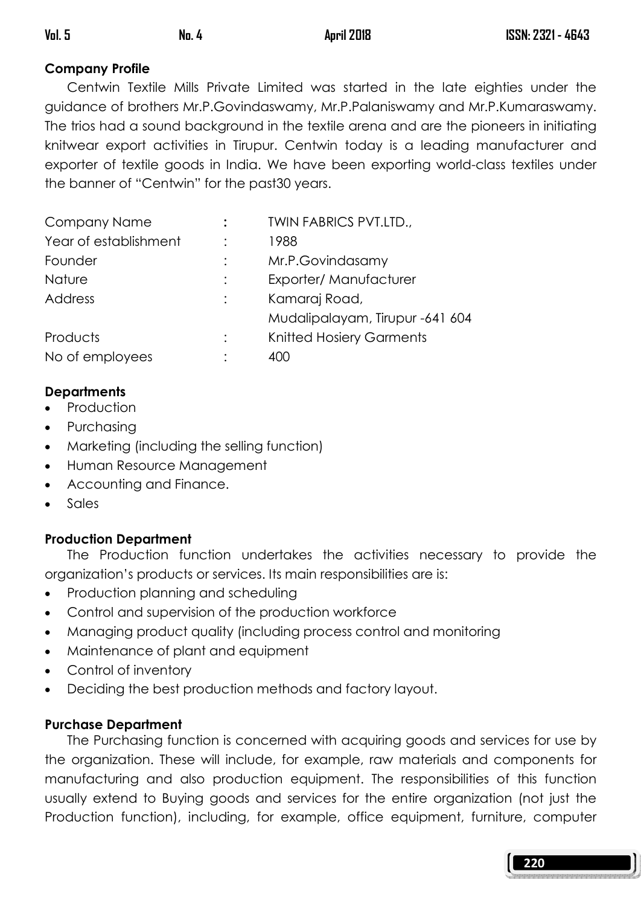# Company Profile

 Centwin Textile Mills Private Limited was started in the late eighties under the guidance of brothers Mr.P.Govindaswamy, Mr.P.Palaniswamy and Mr.P.Kumaraswamy. The trios had a sound background in the textile arena and are the pioneers in initiating knitwear export activities in Tirupur. Centwin today is a leading manufacturer and exporter of textile goods in India. We have been exporting world-class textiles under the banner of "Centwin" for the past30 years.

| Company Name          | <b>TWIN FABRICS PVT.LTD.,</b>   |
|-----------------------|---------------------------------|
| Year of establishment | 1988                            |
| Founder               | Mr.P.Govindasamy                |
| Nature                | Exporter/Manufacturer           |
| Address               | Kamaraj Road,                   |
|                       | Mudalipalayam, Tirupur -641 604 |
| Products              | <b>Knitted Hosiery Garments</b> |
| No of employees       | 400                             |

# **Departments**

- **Production**
- Purchasing
- Marketing (including the selling function)
- Human Resource Management
- Accounting and Finance.
- Sales

# Production Department

 The Production function undertakes the activities necessary to provide the organization's products or services. Its main responsibilities are is:

- Production planning and scheduling
- Control and supervision of the production workforce
- Managing product quality (including process control and monitoring
- Maintenance of plant and equipment
- Control of inventory
- Deciding the best production methods and factory layout.

## Purchase Department

 The Purchasing function is concerned with acquiring goods and services for use by the organization. These will include, for example, raw materials and components for manufacturing and also production equipment. The responsibilities of this function usually extend to Buying goods and services for the entire organization (not just the Production function), including, for example, office equipment, furniture, computer

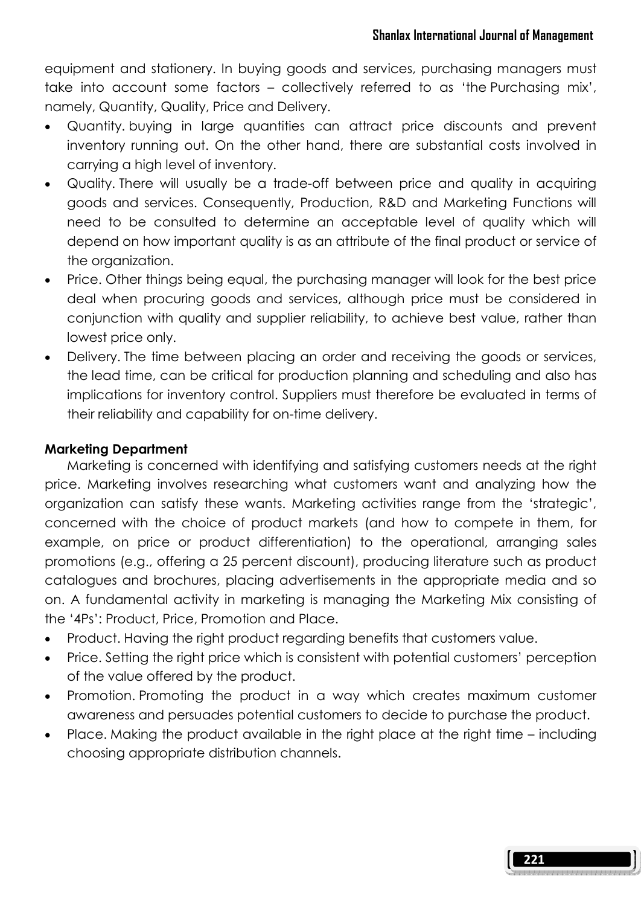equipment and stationery. In buying goods and services, purchasing managers must take into account some factors – collectively referred to as 'the Purchasing mix', namely, Quantity, Quality, Price and Delivery.

- Quantity. buying in large quantities can attract price discounts and prevent inventory running out. On the other hand, there are substantial costs involved in carrying a high level of inventory.
- Quality. There will usually be a trade-off between price and quality in acquiring goods and services. Consequently, Production, R&D and Marketing Functions will need to be consulted to determine an acceptable level of quality which will depend on how important quality is as an attribute of the final product or service of the organization.
- Price. Other things being equal, the purchasing manager will look for the best price deal when procuring goods and services, although price must be considered in conjunction with quality and supplier reliability, to achieve best value, rather than lowest price only.
- Delivery. The time between placing an order and receiving the goods or services, the lead time, can be critical for production planning and scheduling and also has implications for inventory control. Suppliers must therefore be evaluated in terms of their reliability and capability for on-time delivery.

## Marketing Department

 Marketing is concerned with identifying and satisfying customers needs at the right price. Marketing involves researching what customers want and analyzing how the organization can satisfy these wants. Marketing activities range from the 'strategic', concerned with the choice of product markets (and how to compete in them, for example, on price or product differentiation) to the operational, arranging sales promotions (e.g., offering a 25 percent discount), producing literature such as product catalogues and brochures, placing advertisements in the appropriate media and so on. A fundamental activity in marketing is managing the Marketing Mix consisting of the '4Ps': Product, Price, Promotion and Place.

- Product. Having the right product regarding benefits that customers value.
- Price. Setting the right price which is consistent with potential customers' perception of the value offered by the product.
- Promotion. Promoting the product in a way which creates maximum customer awareness and persuades potential customers to decide to purchase the product.
- Place. Making the product available in the right place at the right time including choosing appropriate distribution channels.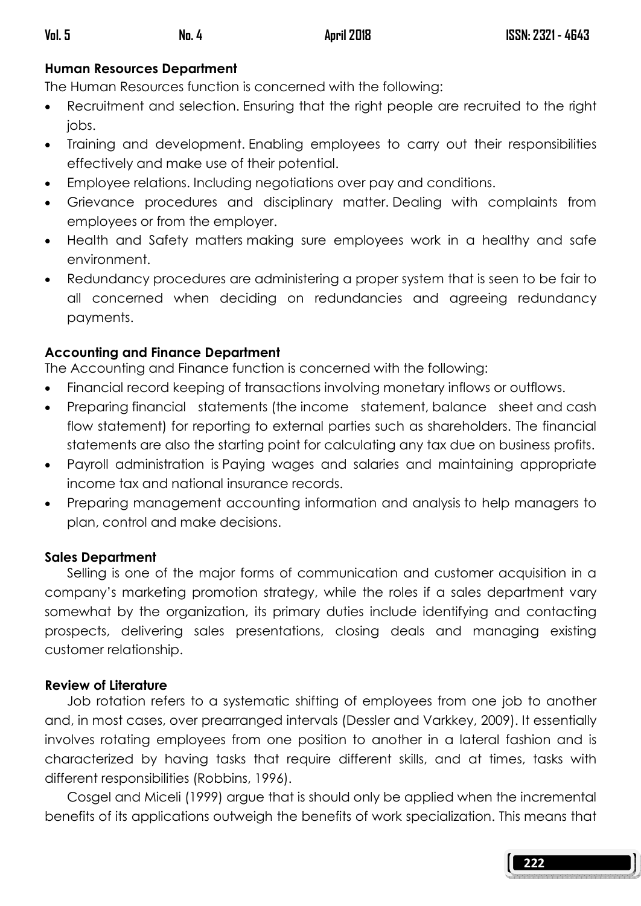# Human Resources Department

The Human Resources function is concerned with the following:

- Recruitment and selection. Ensuring that the right people are recruited to the right jobs.
- Training and development. Enabling employees to carry out their responsibilities effectively and make use of their potential.
- Employee relations. Including negotiations over pay and conditions.
- Grievance procedures and disciplinary matter. Dealing with complaints from employees or from the employer.
- Health and Safety matters making sure employees work in a healthy and safe environment.
- Redundancy procedures are administering a proper system that is seen to be fair to all concerned when deciding on redundancies and agreeing redundancy payments.

# Accounting and Finance Department

The Accounting and Finance function is concerned with the following:

- Financial record keeping of transactions involving monetary inflows or outflows.
- Preparing financial statements (the income statement, balance sheet and cash flow statement) for reporting to external parties such as shareholders. The financial statements are also the starting point for calculating any tax due on business profits.
- Payroll administration is Paying wages and salaries and maintaining appropriate income tax and national insurance records.
- Preparing management accounting information and analysis to help managers to plan, control and make decisions.

## Sales Department

 Selling is one of the major forms of communication and customer acquisition in a company's marketing promotion strategy, while the roles if a sales department vary somewhat by the organization, its primary duties include identifying and contacting prospects, delivering sales presentations, closing deals and managing existing customer relationship.

## Review of Literature

 Job rotation refers to a systematic shifting of employees from one job to another and, in most cases, over prearranged intervals (Dessler and Varkkey, 2009). It essentially involves rotating employees from one position to another in a lateral fashion and is characterized by having tasks that require different skills, and at times, tasks with different responsibilities (Robbins, 1996).

 Cosgel and Miceli (1999) argue that is should only be applied when the incremental benefits of its applications outweigh the benefits of work specialization. This means that